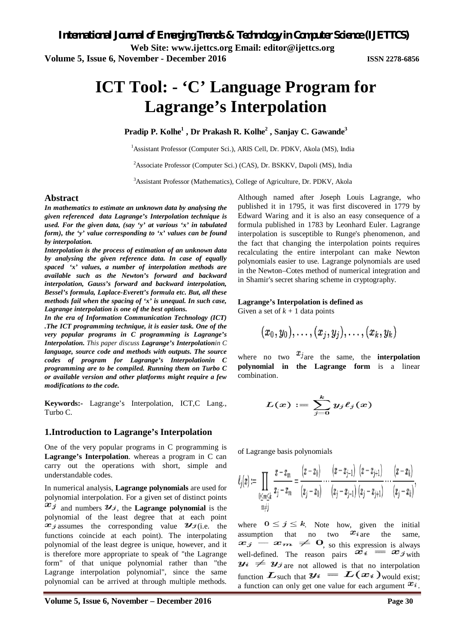# **ICT Tool: - 'C' Language Program for Lagrange's Interpolation**

**Pradip P. Kolhe<sup>1</sup> , Dr Prakash R. Kolhe<sup>2</sup> , Sanjay C. Gawande<sup>3</sup>**

<sup>1</sup>Assistant Professor (Computer Sci.), ARIS Cell, Dr. PDKV, Akola (MS), India

<sup>2</sup>Associate Professor (Computer Sci.) (CAS), Dr. BSKKV, Dapoli (MS), India

<sup>3</sup>Assistant Professor (Mathematics), College of Agriculture, Dr. PDKV, Akola

#### **Abstract**

*In mathematics to estimate an unknown data by analysing the given referenced data Lagrange's Interpolation technique is used. For the given data, (say 'y' at various 'x' in tabulated form), the 'y' value corresponding to 'x' values can be found by interpolation.*

*Interpolation is the process of estimation of an unknown data by analysing the given reference data. In case of equally spaced 'x' values, a number of interpolation methods are available such as the Newton's forward and backward interpolation, Gauss's forward and backward interpolation, Bessel's formula, Laplace-Everett's formula etc. But, all these methods fail when the spacing of 'x' is unequal. In such case, Lagrange interpolation is one of the best options.*

*In the era of Information Communication Technology (ICT) .The ICT programming technique, it is easier task. One of the very popular programs in C programming is Lagrange's Interpolation. This paper discuss Lagrange's Interpolationin C language, source code and methods with outputs. The source codes of program for Lagrange's Interpolationin C programming are to be compiled. Running them on Turbo C or available version and other platforms might require a few modifications to the code.*

**Keywords:-** Lagrange's Interpolation, ICT,C Lang., Turbo C.

#### **1.Introduction to Lagrange's Interpolation**

One of the very popular programs in C programming is **Lagrange's Interpolation**. whereas a program in C can carry out the operations with short, simple and understandable codes.

In numerical analysis, **Lagrange polynomials** are used for polynomial interpolation. For a given set of distinct points  $x_j$  and numbers  $y_j$ , the **Lagrange polynomial** is the polynomial of the least degree that at each point  $x_j$  assumes the corresponding value  $y_j$  (i.e. the functions coincide at each point). The interpolating polynomial of the least degree is unique, however, and it is therefore more appropriate to speak of "the Lagrange form" of that unique polynomial rather than "the Lagrange interpolation polynomial", since the same polynomial can be arrived at through multiple methods.

Although named after Joseph Louis Lagrange, who published it in 1795, it was first discovered in 1779 by Edward Waring and it is also an easy consequence of a formula published in 1783 by Leonhard Euler. Lagrange interpolation is susceptible to Runge's phenomenon, and the fact that changing the interpolation points requires recalculating the entire interpolant can make Newton polynomials easier to use. Lagrange polynomials are used in the Newton–Cotes method of numerical integration and in Shamir's secret sharing scheme in cryptography.

#### **Lagrange's Interpolation is defined as**

Given a set of  $k + 1$  data points

$$
(x_0,y_0),\ldots,(x_j,y_j),\ldots,(x_k,y_k)
$$

where no two  $x_j$  are the same, the **interpolation polynomial in the Lagrange form** is a linear combination.

$$
L(x):=\sum_{j=0}^k y_j \ell_j(x)
$$

of Lagrange basis polynomials

$$
\ell_j(x) := \prod_{\substack{0\le m \le k \\ m\neq j}} \frac{x-x_m}{x_j-x_m} = \frac{(x-x_0)}{(x_j-x_0)} \cdots \frac{(x-x_{j-1})}{(x_j-x_{j-1})} \frac{(x-x_{j+1})}{(x_j-x_{j+1})} \cdots \frac{(x-x_k)}{(x_j-x_k)},
$$

where  $0 \le j \le k$ . Note how, given the initial assumption that no two  $x_i$  are the same, assumption that no two  $x_i$  are the same, , so this expression is always well-defined. The reason pairs  $x_i = x_j$  with  $\mathbf{y}_i \neq \mathbf{y}_j$  are not allowed is that no interpolation function  $\mathbf{L}_{\text{such that}} \mathbf{y}_i = \mathbf{L}(\mathbf{x}_i)_{\text{would exist}}$ a function can only get one value for each argument  $x_i$ .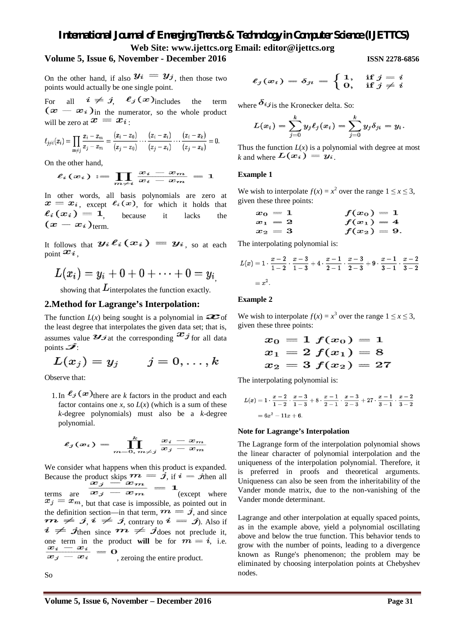# *International Journal of Emerging Trends & Technology in Computer Science (IJETTCS)* **Web Site: www.ijettcs.org Email: editor@ijettcs.org**

#### **Volume 5, Issue 6, November - December 2016 ISSN 2278-6856**

On the other hand, if also  $y_i = y_j$ , then those two points would actually be one single point.

For all  $i \neq j$ ,  $\ell_j(x)$  includes the term  $(\boldsymbol{x} - \boldsymbol{x}_i)$  in the numerator, so the whole product will be zero at  $x = x_i$ .

$$
\ell_{j\neq i}(x_i)=\prod_{m\neq j}\frac{x_i-x_m}{x_j-x_m}=\frac{(x_i-x_0)}{(x_j-x_0)}\cdots\frac{(x_i-x_i)}{(x_j-x_i)}\cdots\frac{(x_i-x_k)}{(x_j-x_k)}=0.
$$

On the other hand,

$$
\ell_i(x_i):=\prod_{m\neq i}\frac{x_i-x_m}{x_i-x_m}=1
$$

In other words, all basis polynomials are zero at  $x = x_i$ , except  $\ell_i(x)$ , for which it holds that<br>  $\ell_i(x_i) = 1$  because it lacks the , because it lacks the  $(x-x_i)_{\text{term}}$ 

It follows that  $y_i \ell_i(x_i) = y_i$ , so at each point  $\boldsymbol{x_i}$ ,

$$
L(x_i)=y_i+0+0+\cdots+0=y_{i_j}
$$

showing that  $L$  interpolates the function exactly.

#### **2.Method for Lagrange's Interpolation:**

The function  $L(x)$  being sought is a polynomial in  $\infty$  of the least degree that interpolates the given data set; that is, assumes value  $\mathcal{L}$  *i* at the corresponding  $\mathcal{L}$  *j* for all data points  $\overline{\mathscr{I}}$ :

$$
L(x_j)=y_j \qquad j=0,\ldots,k
$$

Observe that:

1. In  $\ell_j(x)$  there are *k* factors in the product and each factor contains one *x*, so  $L(x)$  (which is a sum of these *k*-degree polynomials) must also be a *k*-degree polynomial.

$$
\ell_j(x_i) = \prod_{m=0, m\neq j}^k \frac{x_i - x_m}{x_j - x_m}
$$

We consider what happens when this product is expanded. Because the product skips  $m = j$ , if  $i = j$ then all terms are  $\mathbf{x}_j = \mathbf{x}_m$  (except where  $x_j = x_m$ , but that case is impossible, as pointed out in the definition section—in that term,  $m = j$ , and since  $\bm{m} \neq \bm{j}, \bm{i} \neq \bm{j}$ , contrary to  $\bm{i} = \bm{j}$ ). Also if  $i \neq j$ then since  $m \neq j$ does not preclude it, one term in the product will be for  $m = i$ , i.e. one term in  $\frac{x_i - x_i}{x_i - x_i} = 0$ , zeroing the entire product.

So

 $\ell_j(x_i) = \delta_{ji} = \left\{ \begin{matrix} 1, & \text{if } j = i \ 0, & \text{if } j \neq i \end{matrix} \right.$ 

where  $\delta_{ij}$  is the Kronecker delta. So:

$$
L(x_i)=\sum_{j=0}^k y_j\ell_j(x_i)=\sum_{j=0}^k y_j\delta_{ji}=y_i.
$$

Thus the function  $L(x)$  is a polynomial with degree at most *k* and where  $L(x_i) = y_i$ 

### **Example 1**

We wish to interpolate  $f(x) = x^2$  over the range  $1 \le x \le 3$ , given these three points:

$$
\begin{array}{ll} x_0=1 \ & \qquad f(x_0)=1 \\ x_1=2 \ & \qquad f(x_1)=4 \\ x_2=3 \ & \qquad f(x_2)=9. \end{array}
$$

The interpolating polynomial is:

$$
L(x) = 1 \cdot \frac{x-2}{1-2} \cdot \frac{x-3}{1-3} + 4 \cdot \frac{x-1}{2-1} \cdot \frac{x-3}{2-3} + 9 \cdot \frac{x-1}{3-1} \cdot \frac{x-2}{3-2}
$$
  
=  $x^2$ .

#### **Example 2**

We wish to interpolate  $f(x) = x^3$  over the range  $1 \le x \le 3$ , given these three points:

$$
\begin{array}{l} x_0=1\ f(x_0)=1 \\ x_1=2\ f(x_1)=8 \\ x_2=3\ f(x_2)=27 \end{array}
$$

The interpolating polynomial is:

$$
L(x) = 1 \cdot \frac{x-2}{1-2} \cdot \frac{x-3}{1-3} + 8 \cdot \frac{x-1}{2-1} \cdot \frac{x-3}{2-3} + 27 \cdot \frac{x-1}{3-1} \cdot \frac{x-2}{3-2}
$$
  
=  $6x^2 - 11x + 6$ .

#### **Note for Lagrange's Interpolation**

The Lagrange form of the interpolation polynomial shows the linear character of polynomial interpolation and the uniqueness of the interpolation polynomial. Therefore, it is preferred in proofs and theoretical arguments. Uniqueness can also be seen from the inheritability of the Vander monde matrix, due to the non-vanishing of the Vander monde determinant.

Lagrange and other interpolation at equally spaced points, as in the example above, yield a polynomial oscillating above and below the true function. This behavior tends to grow with the number of points, leading to a divergence known as Runge's phenomenon; the problem may be eliminated by choosing interpolation points at Chebyshev nodes.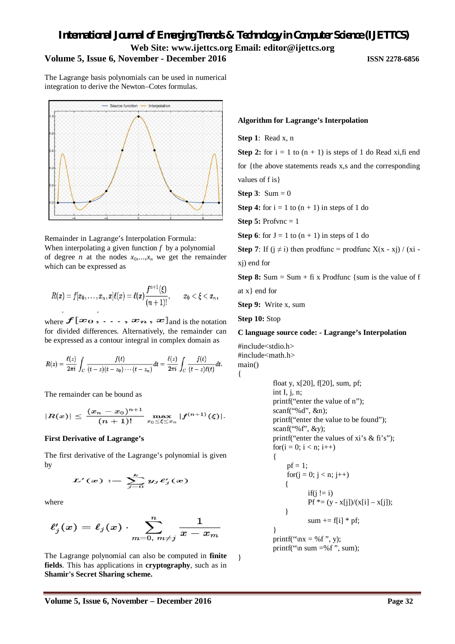## *International Journal of Emerging Trends & Technology in Computer Science (IJETTCS)* **Web Site: www.ijettcs.org Email: editor@ijettcs.org Volume 5, Issue 6, November - December 2016 ISSN 2278-6856**

The Lagrange basis polynomials can be used in numerical integration to derive the Newton–Cotes formulas.



Remainder in Lagrange's Interpolation Formula: When interpolating a given function *f* by a polynomial of degree *n* at the nodes  $x_0, \ldots, x_n$  we get the remainder which can be expressed as

$$
R(x)=f[x_0,\ldots,x_n,x] \ell(x)=\ell(x)\frac{f^{n+1}(\xi)}{(n+1)!}, \qquad x_0<\xi
$$

where  $f[x_0, \ldots, x_n, x]$  and is the notation for divided differences. Alternatively, the remainder can be expressed as a contour integral in complex domain as

$$
R(z)=\frac{\ell(z)}{2\pi i}\int_C\frac{f(t)}{(t-z)(t-z_0)\cdots(t-z_n)}dt=\frac{\ell(z)}{2\pi i}\int_C\frac{f(t)}{(t-z)\ell(t)}dt.
$$

The remainder can be bound as

$$
|R(x)|\leq \frac{(x_n-x_0)^{n+1}}{(n+1)!}\max_{x_0\leq \xi\leq x_n}|f^{(n+1)}(\xi)|.
$$

#### **First Derivative of Lagrange's**

The first derivative of the Lagrange's polynomial is given by

$$
L'(x):=\sum_{j=0}^ky_j\ell'_j(x)
$$

where

$$
\ell_j'(x) = \ell_j(x) \cdot \sum_{m=0,\; m\neq j}^n \frac{1}{x-x_m}
$$

The Lagrange polynomial can also be computed in **finite fields**. This has applications in **cryptography**, such as in **Shamir's Secret Sharing scheme.**

#### **Algorithm for Lagrange's Interpolation**

**Step 1**: Read x, n

**Step 2:** for  $i = 1$  to  $(n + 1)$  is steps of 1 do Read xi, fi end for {the above statements reads x,s and the corresponding values of f is}

**Step 3**:  $Sum = 0$ 

**Step 4:** for  $i = 1$  to  $(n + 1)$  in steps of 1 do

**Step 5: Profync = 1** 

**Step 6**: for  $J = 1$  to  $(n + 1)$  in steps of 1 do

**Step 7**: If  $(i \neq i)$  then prodfunc = prodfunc  $X(x - x_i) / (x_i - x_i)$ 

xj) end for

**Step 8:** Sum = Sum + fi x Prodfunc {sum is the value of f at x} end for

**Step 9:** Write x, sum

**Step 10:** Stop

#### **C language source code: - Lagrange's Interpolation**

#include<stdio.h> #include<math.h> main() {

}

}

float y, x[20], f[20], sum, pf; int I, j, n; printf("enter the value of n"); scanf("%d", &n); printf("enter the value to be found"); scanf("% $f$ ", &y); printf("enter the values of xi's & fi's"); for( $i = 0$ ;  $i < n$ ;  $i++$ ) {

\n
$$
pf = 1;
$$
\n
$$
for(j = 0; j < n; j++)
$$
\n
$$
\{
$$
\n
$$
if(j != i)
$$
\n
$$
Pf * = (y - x[j])/(x[i] - x[j]);
$$
\n
$$
\}
$$
\n
$$
sum += f[i] * pf;
$$
\n
$$
\}
$$
\n
$$
print('^*\n x = %f", y);
$$
\n
$$
print('^*\n x = %f", sum);
$$
\n

**Volume 5, Issue 6, November – December 2016 Page 32**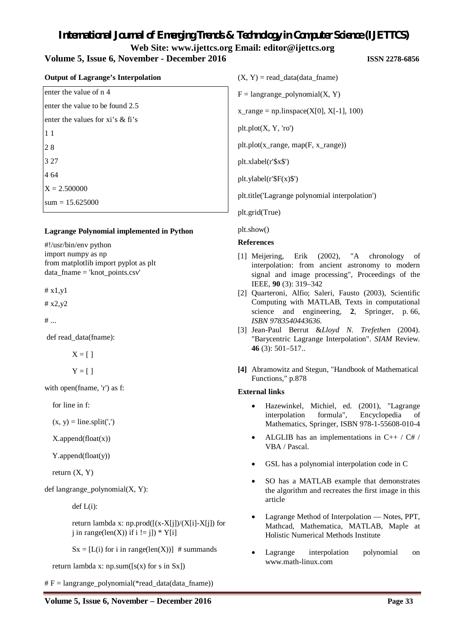# *International Journal of Emerging Trends & Technology in Computer Science (IJETTCS)* **Web Site: www.ijettcs.org Email: editor@ijettcs.org Volume 5, Issue 6, November - December 2016 ISSN 2278-6856**

#### **Output of Lagrange's Interpolation**

enter the value of n 4 enter the value to be found 2.5 enter the values for xi's & fi's 1 1 2 8 3 27 4 64  $X = 2.500000$  $sum = 15.625000$ 

#### **Lagrange Polynomial implemented in Python**

#!/usr/bin/env python import numpy as np from matplotlib import pyplot as plt data  $fname = 'knot points.csv'$ 

 $# x1.v1$ 

# x2,y2

 $#...$ 

def read\_data(fname):

 $X = \lceil \cdot \rceil$ 

 $Y = \lceil \rceil$ 

with open(fname, 'r') as f:

for line in f:

 $(x, y) = line.split(',')$ 

X.append(float(x))

Y.append(float(y))

return (X, Y)

def langrange\_polynomial(X, Y):

 $def L(i):$ 

return lambda x: np.prod $([x-X[i])/(X[i]-X[i])$  for i in range(len(X)) if  $i := j$ ]) \* Y[i]

 $Sx = [L(i)$  for i in range(len(X))] # summands

return lambda x:  $np.sum([s(x) for s in Sx])$ 

 $# F =$ langrange\_polynomial(\*read\_data(data\_fname))

 $(X, Y)$  = read data(data fname)  $F =$ langrange polynomial(X, Y)  $x$ \_range = np.linspace(X[0], X[-1], 100)  $plt.plot(X, Y, 'ro')$ plt.plot(x\_range, map(F, x\_range)) plt.xlabel(r'\$x\$') plt.ylabel(r'\$F(x)\$') plt.title('Lagrange polynomial interpolation') plt.grid(True)

plt.show()

#### **References**

- [1] Meijering, Erik (2002), "A chronology of interpolation: from ancient astronomy to modern signal and image processing", Proceedings of the IEEE, **90** (3): 319–342
- [2] Quarteroni, Alfio; Saleri, Fausto (2003), Scientific Computing with MATLAB, Texts in computational science and engineering, **2**, Springer, p. 66, *ISBN 9783540443636.*
- [3] Jean-Paul Berrut &*Lloyd N. Trefethen* (2004). "Barycentric Lagrange Interpolation". *SIAM* Review. **46** (3): 501–517..
- **[4]** Abramowitz and Stegun, "Handbook of Mathematical Functions," p.878

#### **External links**

- Hazewinkel, Michiel, ed. (2001), "Lagrange interpolation formula", Encyclopedia of Mathematics, Springer, ISBN 978-1-55608-010-4
- ALGLIB has an implementations in C++ / C# / VBA / Pascal.
- GSL has a polynomial interpolation code in C
- SO has a MATLAB example that demonstrates the algorithm and recreates the first image in this article
- Lagrange Method of Interpolation Notes, PPT, Mathcad, Mathematica, MATLAB, Maple at Holistic Numerical Methods Institute
- Lagrange interpolation polynomial on www.math-linux.com